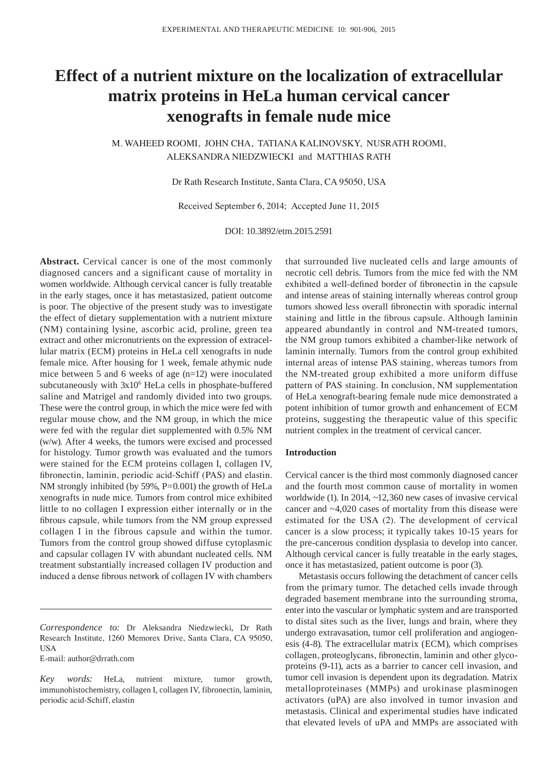# **Effect of a nutrient mixture on the localization of extracellular matrix proteins in HeLa human cervical cancer xenografts in female nude mice**

M. WAHEED ROOMI, JOHN CHA, TATIANA KALINOVSKY, NUSRATH ROOMI, ALEKSANDRA NIEDZWIECKI and MATTHIAS RATH

Dr Rath Research Institute, Santa Clara, CA 95050, USA

Received September 6, 2014; Accepted June 11, 2015

DOI: 10.3892/etm.2015.2591

Abstract. Cervical cancer is one of the most commonly diagnosed cancers and a significant cause of mortality in women worldwide. Although cervical cancer is fully treatable in the early stages, once it has metastasized, patient outcome is poor. The objective of the present study was to investigate the effect of dietary supplementation with a nutrient mixture (NM) containing lysine, ascorbic acid, proline, green tea extract and other micronutrients on the expression of extracellular matrix (ECM) proteins in HeLa cell xenografts in nude female mice. After housing for 1 week, female athymic nude mice between 5 and 6 weeks of age (n=12) were inoculated subcutaneously with  $3x10^6$  HeLa cells in phosphate-buffered saline and Matrigel and randomly divided into two groups. These were the control group, in which the mice were fed with regular mouse chow, and the NM group, in which the mice were fed with the regular diet supplemented with 0.5% NM (w/w). After 4 weeks, the tumors were excised and processed for histology. Tumor growth was evaluated and the tumors were stained for the ECM proteins collagen I, collagen IV, fibronectin, laminin, periodic acid‑Schiff (PAS) and elastin. NM strongly inhibited (by 59%, P=0.001) the growth of HeLa xenografts in nude mice. Tumors from control mice exhibited little to no collagen I expression either internally or in the fibrous capsule, while tumors from the NM group expressed collagen I in the fibrous capsule and within the tumor. Tumors from the control group showed diffuse cytoplasmic and capsular collagen IV with abundant nucleated cells. NM treatment substantially increased collagen IV production and induced a dense fibrous network of collagen IV with chambers

E-mail: author@drrath.com

that surrounded live nucleated cells and large amounts of necrotic cell debris. Tumors from the mice fed with the NM exhibited a well‑defined border of fibronectin in the capsule and intense areas of staining internally whereas control group tumors showed less overall fibronectin with sporadic internal staining and little in the fibrous capsule. Although laminin appeared abundantly in control and NM-treated tumors, the NM group tumors exhibited a chamber-like network of laminin internally. Tumors from the control group exhibited internal areas of intense PAS staining, whereas tumors from the NM-treated group exhibited a more uniform diffuse pattern of PAS staining. In conclusion, NM supplementation of HeLa xenograft-bearing female nude mice demonstrated a potent inhibition of tumor growth and enhancement of ECM proteins, suggesting the therapeutic value of this specific nutrient complex in the treatment of cervical cancer.

## **Introduction**

Cervical cancer is the third most commonly diagnosed cancer and the fourth most common cause of mortality in women worldwide (1). In 2014, ~12,360 new cases of invasive cervical cancer and ~4,020 cases of mortality from this disease were estimated for the USA (2). The development of cervical cancer is a slow process; it typically takes 10-15 years for the pre-cancerous condition dysplasia to develop into cancer. Although cervical cancer is fully treatable in the early stages, once it has metastasized, patient outcome is poor (3).

Metastasis occurs following the detachment of cancer cells from the primary tumor. The detached cells invade through degraded basement membrane into the surrounding stroma, enter into the vascular or lymphatic system and are transported to distal sites such as the liver, lungs and brain, where they undergo extravasation, tumor cell proliferation and angiogenesis (4-8). The extracellular matrix (ECM), which comprises collagen, proteoglycans, fibronectin, laminin and other glycoproteins (9-11), acts as a barrier to cancer cell invasion, and tumor cell invasion is dependent upon its degradation. Matrix metalloproteinases (MMPs) and urokinase plasminogen activators (uPA) are also involved in tumor invasion and metastasis. Clinical and experimental studies have indicated that elevated levels of uPA and MMPs are associated with

*Correspondence to:* Dr Aleksandra Niedzwiecki, Dr Rath Research Institute, 1260 Memorex Drive, Santa Clara, CA 95050, USA

*Key words:* HeLa, nutrient mixture, tumor growth, immunohistochemistry, collagen I, collagen IV, fibronectin, laminin, periodic acid-Schiff, elastin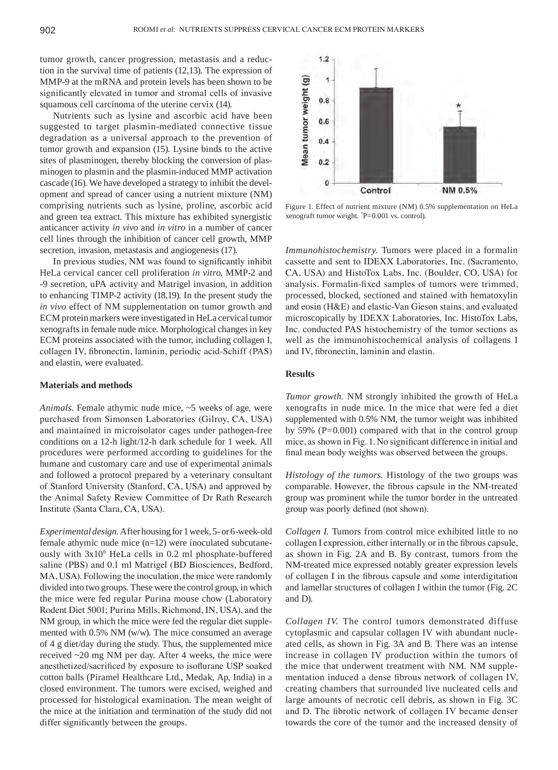tumor growth, cancer progression, metastasis and a reduction in the survival time of patients (12,13). The expression of MMP-9 at the mRNA and protein levels has been shown to be significantly elevated in tumor and stromal cells of invasive squamous cell carcinoma of the uterine cervix (14).

Nutrients such as lysine and ascorbic acid have been suggested to target plasmin-mediated connective tissue degradation as a universal approach to the prevention of tumor growth and expansion (15). Lysine binds to the active sites of plasminogen, thereby blocking the conversion of plasminogen to plasmin and the plasmin-induced MMP activation cascade (16). We have developed a strategy to inhibit the development and spread of cancer using a nutrient mixture (NM) comprising nutrients such as lysine, proline, ascorbic acid and green tea extract. This mixture has exhibited synergistic anticancer activity *in vivo* and *in vitro* in a number of cancer cell lines through the inhibition of cancer cell growth, MMP secretion, invasion, metastasis and angiogenesis (17).

In previous studies, NM was found to significantly inhibit HeLa cervical cancer cell proliferation *in vitro*, MMP-2 and -9 secretion, uPA activity and Matrigel invasion, in addition to enhancing TIMP-2 activity (18,19). In the present study the *in vivo* effect of NM supplementation on tumor growth and ECM protein markers were investigated in HeLa cervical tumor xenografts in female nude mice. Morphological changes in key ECM proteins associated with the tumor, including collagen I, collagen IV, fibronectin, laminin, periodic acid‑Schiff (PAS) and elastin, were evaluated.

#### **Materials and methods**

*Animals.* Female athymic nude mice, ~5 weeks of age, were purchased from Simonsen Laboratories (Gilroy, CA, USA) and maintained in microisolator cages under pathogen-free conditions on a 12-h light/12-h dark schedule for 1 week. All procedures were performed according to guidelines for the humane and customary care and use of experimental animals and followed a protocol prepared by a veterinary consultant of Stanford University (Stanford, CA, USA) and approved by the Animal Safety Review Committee of Dr Rath Research Institute (Santa Clara, CA, USA).

*Experimental design.* After housing for 1week, 5- or 6-week-old female athymic nude mice (n=12) were inoculated subcutaneously with 3x106 HeLa cells in 0.2 ml phosphate-buffered saline (PBS) and 0.1 ml Matrigel (BD Biosciences, Bedford, MA, USA). Following the inoculation, the mice were randomly divided into two groups. These were the control group, in which the mice were fed regular Purina mouse chow (Laboratory Rodent Diet 5001; Purina Mills, Richmond, IN, USA), and the NM group, in which the mice were fed the regular diet supplemented with 0.5% NM (w/w). The mice consumed an average of 4 g diet/day during the study. Thus, the supplemented mice received ~20 mg NM per day. After 4 weeks, the mice were anesthetized/sacrificed by exposure to isoflurane USP soaked cotton balls (Piramel Healthcare Ltd., Medak, Ap, India) in a closed environment. The tumors were excised, weighed and processed for histological examination. The mean weight of the mice at the initiation and termination of the study did not differ significantly between the groups.



Figure 1. Effect of nutrient mixture (NM) 0.5% supplementation on HeLa xenograft tumor weight. \* P=0.001 vs. control).

*Immunohistochemistry.* Tumors were placed in a formalin cassette and sent to IDEXX Laboratories, Inc. (Sacramento, CA, USA) and HistoTox Labs, Inc. (Boulder, CO, USA) for analysis. Formalin‑fixed samples of tumors were trimmed, processed, blocked, sectioned and stained with hematoxylin and eosin (H&E) and elastic-Van Gieson stains, and evaluated microscopically by IDEXX Laboratories, Inc. HistoTox Labs, Inc. conducted PAS histochemistry of the tumor sections as well as the immunohistochemical analysis of collagens I and IV, fibronectin, laminin and elastin.

#### **Results**

*Tumor growth.* NM strongly inhibited the growth of HeLa xenografts in nude mice. In the mice that were fed a diet supplemented with 0.5% NM, the tumor weight was inhibited by  $59\%$  (P=0.001) compared with that in the control group mice, as shown in Fig. 1. No significant difference in initial and final mean body weights was observed between the groups.

*Histology of the tumors.* Histology of the two groups was comparable. However, the fibrous capsule in the NM‑treated group was prominent while the tumor border in the untreated group was poorly defined (not shown).

*Collagen I.* Tumors from control mice exhibited little to no collagen I expression, either internally or in the fibrous capsule, as shown in Fig. 2A and B. By contrast, tumors from the NM-treated mice expressed notably greater expression levels of collagen I in the fibrous capsule and some interdigitation and lamellar structures of collagen I within the tumor (Fig. 2C and D).

*Collagen IV.* The control tumors demonstrated diffuse cytoplasmic and capsular collagen IV with abundant nucleated cells, as shown in Fig. 3A and B. There was an intense increase in collagen IV production within the tumors of the mice that underwent treatment with NM. NM supplementation induced a dense fibrous network of collagen IV, creating chambers that surrounded live nucleated cells and large amounts of necrotic cell debris, as shown in Fig. 3C and D. The fibrotic network of collagen IV became denser towards the core of the tumor and the increased density of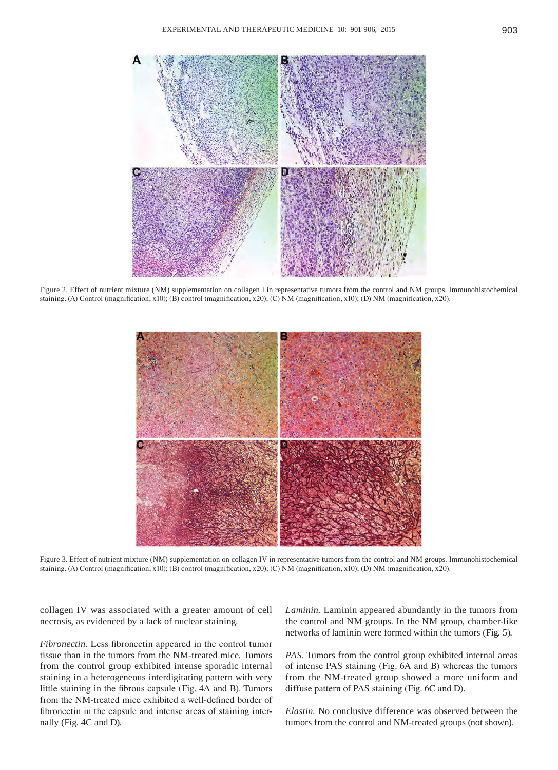

Figure 2. Effect of nutrient mixture (NM) supplementation on collagen I in representative tumors from the control and NM groups. Immunohistochemical staining. (A) Control (magnification, x10); (B) control (magnification, x20); (C) NM (magnification, x10); (D) NM (magnification, x20).



Figure 3. Effect of nutrient mixture (NM) supplementation on collagen IV in representative tumors from the control and NM groups. Immunohistochemical staining. (A) Control (magnification, x10); (B) control (magnification, x20); (C) NM (magnification, x10); (D) NM (magnification, x20).

collagen IV was associated with a greater amount of cell necrosis, as evidenced by a lack of nuclear staining.

*Fibronectin.* Less fibronectin appeared in the control tumor tissue than in the tumors from the NM-treated mice. Tumors from the control group exhibited intense sporadic internal staining in a heterogeneous interdigitating pattern with very little staining in the fibrous capsule (Fig. 4A and B). Tumors from the NM-treated mice exhibited a well-defined border of fibronectin in the capsule and intense areas of staining internally (Fig. 4C and D).

*Laminin.* Laminin appeared abundantly in the tumors from the control and NM groups. In the NM group, chamber-like networks of laminin were formed within the tumors (Fig. 5).

*PAS.* Tumors from the control group exhibited internal areas of intense PAS staining (Fig. 6A and B) whereas the tumors from the NM-treated group showed a more uniform and diffuse pattern of PAS staining (Fig. 6C and D).

*Elastin.* No conclusive difference was observed between the tumors from the control and NM-treated groups (not shown).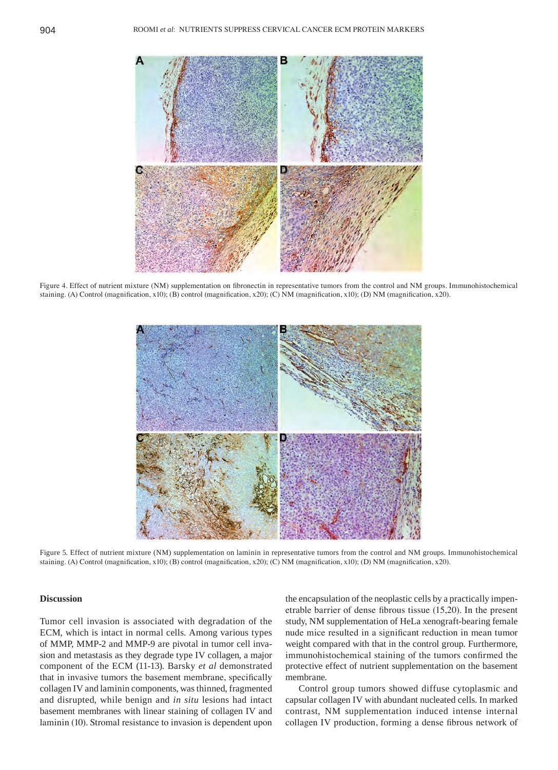

Figure 4. Effect of nutrient mixture (NM) supplementation on fibronectin in representative tumors from the control and NM groups. Immunohistochemical staining. (A) Control (magnification, x10); (B) control (magnification, x20); (C) NM (magnification, x10); (D) NM (magnification, x20).



Figure 5. Effect of nutrient mixture (NM) supplementation on laminin in representative tumors from the control and NM groups. Immunohistochemical staining. (A) Control (magnification, x10); (B) control (magnification, x20); (C) NM (magnification, x10); (D) NM (magnification, x20).

# **Discussion**

Tumor cell invasion is associated with degradation of the ECM, which is intact in normal cells. Among various types of MMP, MMP-2 and MMP-9 are pivotal in tumor cell invasion and metastasis as they degrade type IV collagen, a major component of the ECM (11-13). Barsky *et al* demonstrated that in invasive tumors the basement membrane, specifically collagen IV and laminin components, was thinned, fragmented and disrupted, while benign and *in situ* lesions had intact basement membranes with linear staining of collagen IV and laminin (10). Stromal resistance to invasion is dependent upon the encapsulation of the neoplastic cells by a practically impenetrable barrier of dense fibrous tissue (15,20). In the present study, NM supplementation of HeLa xenograft-bearing female nude mice resulted in a significant reduction in mean tumor weight compared with that in the control group. Furthermore, immunohistochemical staining of the tumors confirmed the protective effect of nutrient supplementation on the basement membrane.

Control group tumors showed diffuse cytoplasmic and capsular collagen IV with abundant nucleated cells. In marked contrast, NM supplementation induced intense internal collagen IV production, forming a dense fibrous network of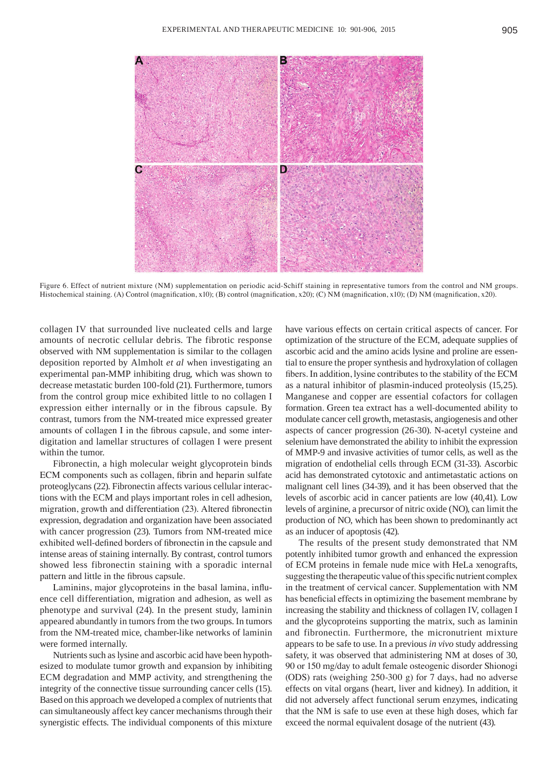

Figure 6. Effect of nutrient mixture (NM) supplementation on periodic acid‑Schiff staining in representative tumors from the control and NM groups. Histochemical staining. (A) Control (magnification, x10); (B) control (magnification, x20); (C) NM (magnification, x10); (D) NM (magnification, x20).

collagen IV that surrounded live nucleated cells and large amounts of necrotic cellular debris. The fibrotic response observed with NM supplementation is similar to the collagen deposition reported by Almholt *et al* when investigating an experimental pan-MMP inhibiting drug, which was shown to decrease metastatic burden 100-fold (21). Furthermore, tumors from the control group mice exhibited little to no collagen I expression either internally or in the fibrous capsule. By contrast, tumors from the NM-treated mice expressed greater amounts of collagen I in the fibrous capsule, and some interdigitation and lamellar structures of collagen I were present within the tumor.

Fibronectin, a high molecular weight glycoprotein binds ECM components such as collagen, fibrin and heparin sulfate proteoglycans (22). Fibronectin affects various cellular interactions with the ECM and plays important roles in cell adhesion, migration, growth and differentiation (23). Altered fibronectin expression, degradation and organization have been associated with cancer progression (23). Tumors from NM-treated mice exhibited well-defined borders of fibronectin in the capsule and intense areas of staining internally. By contrast, control tumors showed less fibronectin staining with a sporadic internal pattern and little in the fibrous capsule.

Laminins, major glycoproteins in the basal lamina, influence cell differentiation, migration and adhesion, as well as phenotype and survival (24). In the present study, laminin appeared abundantly in tumors from the two groups. In tumors from the NM-treated mice, chamber-like networks of laminin were formed internally.

Nutrients such as lysine and ascorbic acid have been hypothesized to modulate tumor growth and expansion by inhibiting ECM degradation and MMP activity, and strengthening the integrity of the connective tissue surrounding cancer cells (15). Based on this approach we developed a complex of nutrients that can simultaneously affect key cancer mechanisms through their synergistic effects. The individual components of this mixture have various effects on certain critical aspects of cancer. For optimization of the structure of the ECM, adequate supplies of ascorbic acid and the amino acids lysine and proline are essential to ensure the proper synthesis and hydroxylation of collagen fibers. In addition, lysine contributes to the stability of the ECM as a natural inhibitor of plasmin-induced proteolysis (15,25). Manganese and copper are essential cofactors for collagen formation. Green tea extract has a well‑documented ability to modulate cancer cell growth, metastasis, angiogenesis and other aspects of cancer progression (26-30). N-acetyl cysteine and selenium have demonstrated the ability to inhibit the expression of MMP-9 and invasive activities of tumor cells, as well as the migration of endothelial cells through ECM (31-33). Ascorbic acid has demonstrated cytotoxic and antimetastatic actions on malignant cell lines (34-39), and it has been observed that the levels of ascorbic acid in cancer patients are low (40,41). Low levels of arginine, a precursor of nitric oxide (NO), can limit the production of NO, which has been shown to predominantly act as an inducer of apoptosis (42).

The results of the present study demonstrated that NM potently inhibited tumor growth and enhanced the expression of ECM proteins in female nude mice with HeLa xenografts, suggesting the therapeutic value of this specific nutrient complex in the treatment of cervical cancer. Supplementation with NM has beneficial effects in optimizing the basement membrane by increasing the stability and thickness of collagen IV, collagen I and the glycoproteins supporting the matrix, such as laminin and fibronectin. Furthermore, the micronutrient mixture appears to be safe to use. In a previous *in vivo* study addressing safety, it was observed that administering NM at doses of 30, 90 or 150 mg/day to adult female osteogenic disorder Shionogi (ODS) rats (weighing 250‑300 g) for 7 days, had no adverse effects on vital organs (heart, liver and kidney). In addition, it did not adversely affect functional serum enzymes, indicating that the NM is safe to use even at these high doses, which far exceed the normal equivalent dosage of the nutrient (43).